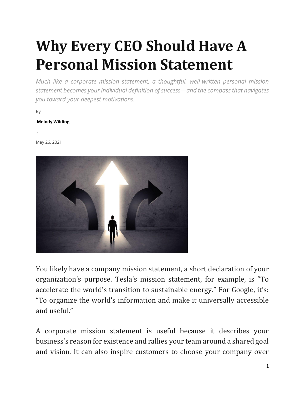# **Why Every CEO Should Have A Personal Mission Statement**

*Much like a corporate mission statement, a thoughtful, well-written personal mission statement becomes your individual definition of success—and the compass that navigates you toward your deepest motivations.*

By

-

#### **[Melody Wilding](https://chiefexecutive.net/author/melodywilding1/)**

May 26, 2021



You likely have a company mission statement, a short declaration of your organization's purpose. Tesla's mission statement, for example, is "To accelerate the world's transition to sustainable energy." For Google, it's: "To organize the world's information and make it universally accessible and useful."

A corporate mission statement is useful because it describes your business's reason for existence and rallies your team around a shared goal and vision. It can also inspire customers to choose your company over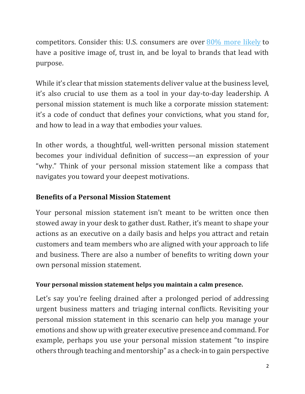competitors. Consider this: U.S. consumers are over [80% more likely](https://www.businessofpurpose.com/statistics) to have a positive image of, trust in, and be loyal to brands that lead with purpose.

While it's clear that mission statements deliver value at the business level, it's also crucial to use them as a tool in your day-to-day leadership. A personal mission statement is much like a corporate mission statement: it's a code of conduct that defines your convictions, what you stand for, and how to lead in a way that embodies your values.

In other words, a thoughtful, well-written personal mission statement becomes your individual definition of success—an expression of your "why." Think of your personal mission statement like a compass that navigates you toward your deepest motivations.

### **Benefits of a Personal Mission Statement**

Your personal mission statement isn't meant to be written once then stowed away in your desk to gather dust. Rather, it's meant to shape your actions as an executive on a daily basis and helps you attract and retain customers and team members who are aligned with your approach to life and business. There are also a number of benefits to writing down your own personal mission statement.

#### **Your personal mission statement helps you maintain a calm presence.**

Let's say you're feeling drained after a prolonged period of addressing urgent business matters and triaging internal conflicts. Revisiting your personal mission statement in this scenario can help you manage your emotions and show up with greater executive presence and command. For example, perhaps you use your personal mission statement "to inspire others through teaching and mentorship" as a check-in to gain perspective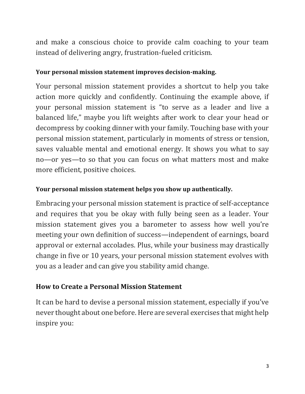and make a conscious choice to provide calm coaching to your team instead of delivering angry, frustration-fueled criticism.

#### **Your personal mission statement improves decision-making.**

Your personal mission statement provides a shortcut to help you take action more quickly and confidently. Continuing the example above, if your personal mission statement is "to serve as a leader and live a balanced life," maybe you lift weights after work to clear your head or decompress by cooking dinner with your family. Touching base with your personal mission statement, particularly in moments of stress or tension, saves valuable mental and emotional energy. It shows you what to say no—or yes—to so that you can focus on what matters most and make more efficient, positive choices.

#### **Your personal mission statement helps you show up authentically.**

Embracing your personal mission statement is practice of self-acceptance and requires that you be okay with fully being seen as a leader. Your mission statement gives you a barometer to assess how well you're meeting your own definition of success—independent of earnings, board approval or external accolades. Plus, while your business may drastically change in five or 10 years, your personal mission statement evolves with you as a leader and can give you stability amid change.

# **How to Create a Personal Mission Statement**

It can be hard to devise a personal mission statement, especially if you've never thought about one before. Here are several exercises that might help inspire you: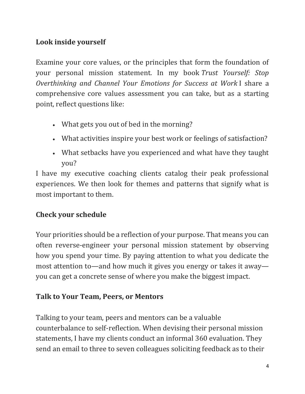# **Look inside yourself**

Examine your core values, or the principles that form the foundation of your personal mission statement. In my book *Trust Yourself: Stop Overthinking and Channel Your Emotions for Success at Work* I share a comprehensive core values assessment you can take, but as a starting point, reflect questions like:

- What gets you out of bed in the morning?
- What activities inspire your best work or feelings of satisfaction?
- What setbacks have you experienced and what have they taught you?

I have my executive coaching clients catalog their peak professional experiences. We then look for themes and patterns that signify what is most important to them.

# **Check your schedule**

Your priorities should be a reflection of your purpose. That means you can often reverse-engineer your personal mission statement by observing how you spend your time. By paying attention to what you dedicate the most attention to—and how much it gives you energy or takes it away you can get a concrete sense of where you make the biggest impact.

# **Talk to Your Team, Peers, or Mentors**

Talking to your team, peers and mentors can be a valuable counterbalance to self-reflection. When devising their personal mission statements, I have my clients conduct an informal 360 evaluation. They send an email to three to seven colleagues soliciting feedback as to their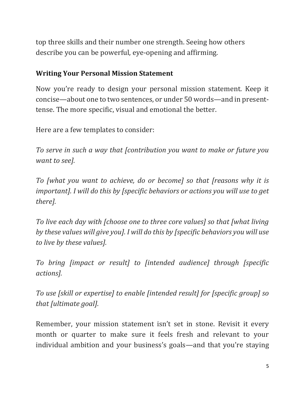top three skills and their number one strength. Seeing how others describe you can be powerful, eye-opening and affirming.

#### **Writing Your Personal Mission Statement**

Now you're ready to design your personal mission statement. Keep it concise—about one to two sentences, or under 50 words—and in presenttense. The more specific, visual and emotional the better.

Here are a few templates to consider:

*To serve in such a way that [contribution you want to make or future you want to see].*

*To [what you want to achieve, do or become] so that [reasons why it is important]. I will do this by [specific behaviors or actions you will use to get there].*

*To live each day with [choose one to three core values] so that [what living by these values will give you]. I will do this by [specific behaviors you will use to live by these values].*

*To bring [impact or result] to [intended audience] through [specific actions].*

*To use [skill or expertise] to enable [intended result] for [specific group] so that [ultimate goal].*

Remember, your mission statement isn't set in stone. Revisit it every month or quarter to make sure it feels fresh and relevant to your individual ambition and your business's goals—and that you're staying